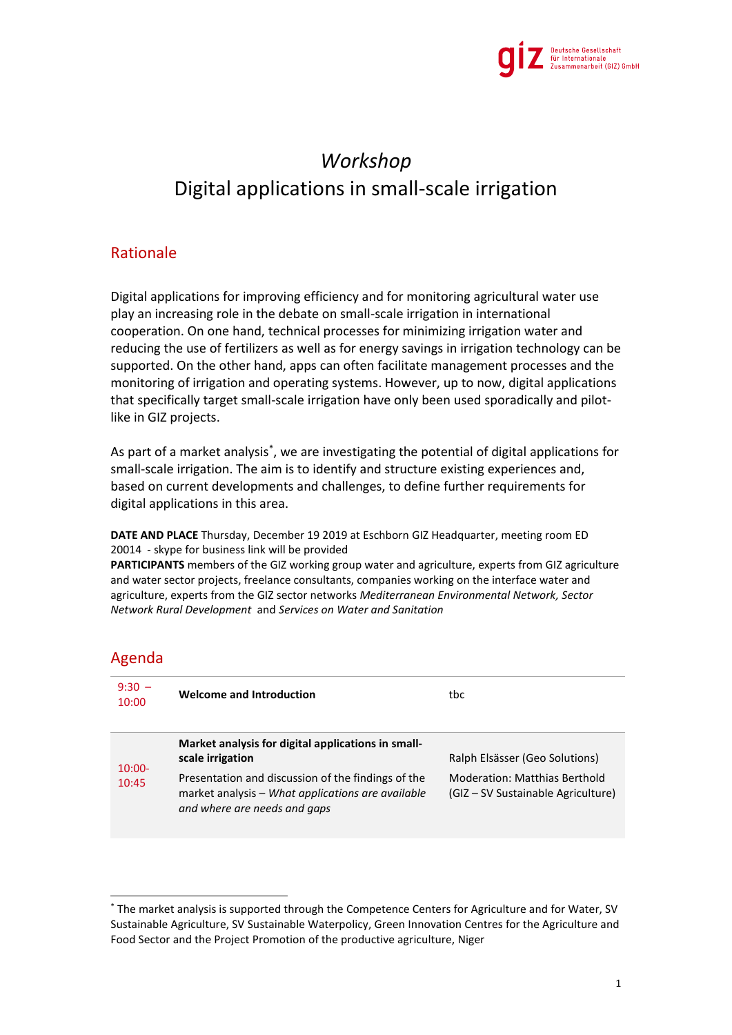

## *Workshop* Digital applications in small-scale irrigation

## Rationale

Digital applications for improving efficiency and for monitoring agricultural water use play an increasing role in the debate on small-scale irrigation in international cooperation. On one hand, technical processes for minimizing irrigation water and reducing the use of fertilizers as well as for energy savings in irrigation technology can be supported. On the other hand, apps can often facilitate management processes and the monitoring of irrigation and operating systems. However, up to now, digital applications that specifically target small-scale irrigation have only been used sporadically and pilotlike in GIZ projects.

As part of a market analysis<sup>\*</sup>, we are investigating the potential of digital applications for small-scale irrigation. The aim is to identify and structure existing experiences and, based on current developments and challenges, to define further requirements for digital applications in this area.

**DATE AND PLACE** Thursday, December 19 2019 at Eschborn GIZ Headquarter, meeting room ED 20014 - skype for business link will be provided

**PARTICIPANTS** members of the GIZ working group water and agriculture, experts from GIZ agriculture and water sector projects, freelance consultants, companies working on the interface water and agriculture, experts from the GIZ sector networks *Mediterranean Environmental Network, Sector Network Rural Development* and *Services on Water and Sanitation*

## Agenda

1

| $9:30 -$<br>10:00  | <b>Welcome and Introduction</b>                                                                                                         | tbc                                                                        |
|--------------------|-----------------------------------------------------------------------------------------------------------------------------------------|----------------------------------------------------------------------------|
| $10:00 -$<br>10:45 | Market analysis for digital applications in small-<br>scale irrigation                                                                  | Ralph Elsässer (Geo Solutions)                                             |
|                    | Presentation and discussion of the findings of the<br>market analysis - What applications are available<br>and where are needs and gaps | <b>Moderation: Matthias Berthold</b><br>(GIZ – SV Sustainable Agriculture) |

<sup>\*</sup> The market analysis is supported through the Competence Centers for Agriculture and for Water, SV Sustainable Agriculture, SV Sustainable Waterpolicy, Green Innovation Centres for the Agriculture and Food Sector and the Project Promotion of the productive agriculture, Niger